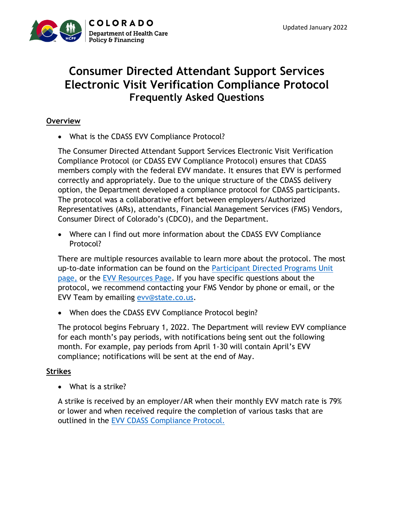

## **Consumer Directed Attendant Support Services Electronic Visit Verification Compliance Protocol Frequently Asked Questions**

## **Overview**

• What is the CDASS EVV Compliance Protocol?

The Consumer Directed Attendant Support Services Electronic Visit Verification Compliance Protocol (or CDASS EVV Compliance Protocol) ensures that CDASS members comply with the federal EVV mandate. It ensures that EVV is performed correctly and appropriately. Due to the unique structure of the CDASS delivery option, the Department developed a compliance protocol for CDASS participants. The protocol was a collaborative effort between employers/Authorized Representatives (ARs), attendants, Financial Management Services (FMS) Vendors, Consumer Direct of Colorado's (CDCO), and the Department.

• Where can I find out more information about the CDASS EVV Compliance Protocol?

There are multiple resources available to learn more about the protocol. The most up-to-date information can be found on the [Participant Directed Programs Unit](https://hcpf.colorado.gov/participant-directed-programs-policy-collaborative) [page,](https://hcpf.colorado.gov/participant-directed-programs-policy-collaborative) or the [EVV Resources Page.](https://hcpf.colorado.gov/electronic-visit-verification-resources) If you have specific questions about the protocol, we recommend contacting your FMS Vendor by phone or email, or the EVV Team by emailing [evv@state.co.us.](mailto:evv@state.co.us)

• When does the CDASS EVV Compliance Protocol begin?

The protocol begins February 1, 2022. The Department will review EVV compliance for each month's pay periods, with notifications being sent out the following month. For example, pay periods from April 1-30 will contain April's EVV compliance; notifications will be sent at the end of May.

## **Strikes**

• What is a strike?

A strike is received by an employer/AR when their monthly EVV match rate is 79% or lower and when received require the completion of various tasks that are outlined in the [EVV CDASS Compliance Protocol.](https://hcpf.colorado.gov/electronic-visit-verification-resources)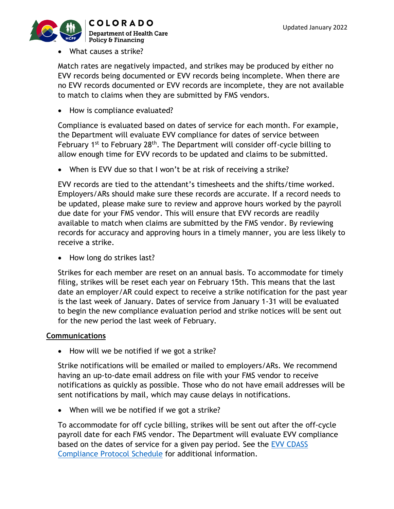

• What causes a strike?

Match rates are negatively impacted, and strikes may be produced by either no EVV records being documented or EVV records being incomplete. When there are no EVV records documented or EVV records are incomplete, they are not available to match to claims when they are submitted by FMS vendors.

• How is compliance evaluated?

Compliance is evaluated based on dates of service for each month. For example, the Department will evaluate EVV compliance for dates of service between February 1<sup>st</sup> to February 28<sup>th</sup>. The Department will consider off-cycle billing to allow enough time for EVV records to be updated and claims to be submitted.

• When is EVV due so that I won't be at risk of receiving a strike?

EVV records are tied to the attendant's timesheets and the shifts/time worked. Employers/ARs should make sure these records are accurate. If a record needs to be updated, please make sure to review and approve hours worked by the payroll due date for your FMS vendor. This will ensure that EVV records are readily available to match when claims are submitted by the FMS vendor. By reviewing records for accuracy and approving hours in a timely manner, you are less likely to receive a strike.

• How long do strikes last?

Strikes for each member are reset on an annual basis. To accommodate for timely filing, strikes will be reset each year on February 15th. This means that the last date an employer/AR could expect to receive a strike notification for the past year is the last week of January. Dates of service from January 1-31 will be evaluated to begin the new compliance evaluation period and strike notices will be sent out for the new period the last week of February.

## **Communications**

• How will we be notified if we got a strike?

Strike notifications will be emailed or mailed to employers/ARs. We recommend having an up-to-date email address on file with your FMS vendor to receive notifications as quickly as possible. Those who do not have email addresses will be sent notifications by mail, which may cause delays in notifications.

• When will we be notified if we got a strike?

To accommodate for off cycle billing, strikes will be sent out after the off-cycle payroll date for each FMS vendor. The Department will evaluate EVV compliance based on the dates of service for a given pay period. See the [EVV CDASS](https://hcpf.colorado.gov/electronic-visit-verification-resources)  [Compliance Protocol](https://hcpf.colorado.gov/electronic-visit-verification-resources) Schedule for additional information.